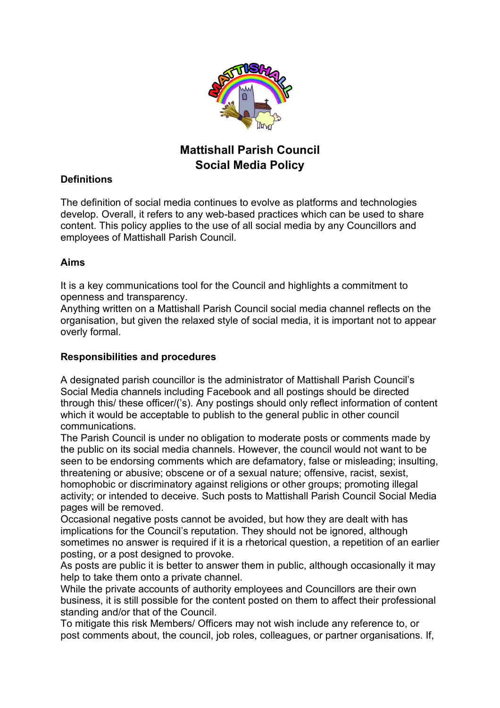

## **Mattishall Parish Council Social Media Policy**

## **Definitions**

The definition of social media continues to evolve as platforms and technologies develop. Overall, it refers to any web-based practices which can be used to share content. This policy applies to the use of all social media by any Councillors and employees of Mattishall Parish Council.

## **Aims**

It is a key communications tool for the Council and highlights a commitment to openness and transparency.

Anything written on a Mattishall Parish Council social media channel reflects on the organisation, but given the relaxed style of social media, it is important not to appear overly formal.

## **Responsibilities and procedures**

A designated parish councillor is the administrator of Mattishall Parish Council's Social Media channels including Facebook and all postings should be directed through this/ these officer/('s). Any postings should only reflect information of content which it would be acceptable to publish to the general public in other council communications.

The Parish Council is under no obligation to moderate posts or comments made by the public on its social media channels. However, the council would not want to be seen to be endorsing comments which are defamatory, false or misleading; insulting, threatening or abusive; obscene or of a sexual nature; offensive, racist, sexist, homophobic or discriminatory against religions or other groups; promoting illegal activity; or intended to deceive. Such posts to Mattishall Parish Council Social Media pages will be removed.

Occasional negative posts cannot be avoided, but how they are dealt with has implications for the Council's reputation. They should not be ignored, although sometimes no answer is required if it is a rhetorical question, a repetition of an earlier posting, or a post designed to provoke.

As posts are public it is better to answer them in public, although occasionally it may help to take them onto a private channel.

While the private accounts of authority employees and Councillors are their own business, it is still possible for the content posted on them to affect their professional standing and/or that of the Council.

To mitigate this risk Members/ Officers may not wish include any reference to, or post comments about, the council, job roles, colleagues, or partner organisations. If,